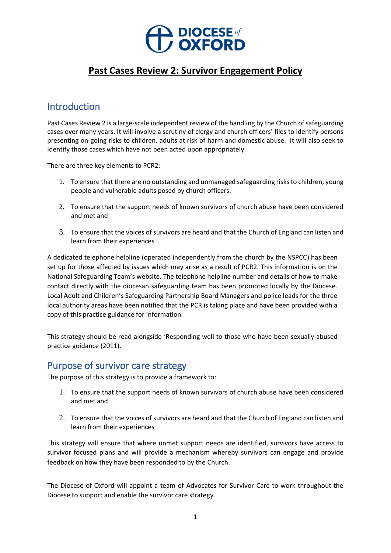

#### Introduction

Past Cases Review 2 is a large-scale independent review of the handling by the Church of safeguarding cases over many years. It will involve a scrutiny of clergy and church officers' files to identify persons presenting on-going risks to children, adults at risk of harm and domestic abuse. It will also seek to identify those cases which have not been acted upon appropriately.

There are three key elements to PCR2:

- 1. To ensure that there are no outstanding and unmanaged safeguarding risks to children, young people and vulnerable adults posed by church officers.
- 2. To ensure that the support needs of known survivors of church abuse have been considered and met and
- 3. To ensure that the voices of survivors are heard and that the Church of England can listen and learn from their experiences.

A dedicated telephone helpline (operated independently from the church by the NSPCC) has been set up for those affected by issues which may arise as a result of PCR2. This information is on the National Safeguarding Team's website. The telephone helpline number and details of how to make contact directly with the diocesan safeguarding team has been promoted locally by the Diocese. Local Adult and Children's Safeguarding Partnership Board Managers and police leads for the three local authority areas have been notified that the PCR is taking place and have been provided with a copy of this practice guidance for information.

This strategy should be read alongside 'Responding well to those who have been sexually abused practice guidance (2011).

#### Purpose of survivor care strategy

The purpose of this strategy is to provide a framework to:

- 1. To ensure that the support needs of known survivors of church abuse have been considered and met and
- 2. To ensure that the voices of survivors are heard and that the Church of England can listen and learn from their experiences

This strategy will ensure that where unmet support needs are identified, survivors have access to survivor focused plans and will provide a mechanism whereby survivors can engage and provide feedback on how they have been responded to by the Church.

The Diocese of Oxford will appoint a team of Advocates for Survivor Care to work throughout the Diocese to support and enable the survivor care strategy.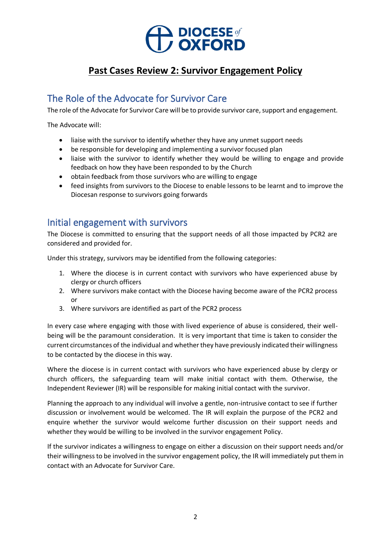

## The Role of the Advocate for Survivor Care

The role of the Advocate for Survivor Care will be to provide survivor care, support and engagement.

The Advocate will:

- liaise with the survivor to identify whether they have any unmet support needs
- be responsible for developing and implementing a survivor focused plan
- liaise with the survivor to identify whether they would be willing to engage and provide feedback on how they have been responded to by the Church
- obtain feedback from those survivors who are willing to engage
- feed insights from survivors to the Diocese to enable lessons to be learnt and to improve the Diocesan response to survivors going forwards

#### Initial engagement with survivors

The Diocese is committed to ensuring that the support needs of all those impacted by PCR2 are considered and provided for.

Under this strategy, survivors may be identified from the following categories:

- 1. Where the diocese is in current contact with survivors who have experienced abuse by clergy or church officers
- 2. Where survivors make contact with the Diocese having become aware of the PCR2 process or
- 3. Where survivors are identified as part of the PCR2 process

In every case where engaging with those with lived experience of abuse is considered, their wellbeing will be the paramount consideration. It is very important that time is taken to consider the current circumstances of the individual and whether they have previously indicated their willingness to be contacted by the diocese in this way.

Where the diocese is in current contact with survivors who have experienced abuse by clergy or church officers, the safeguarding team will make initial contact with them. Otherwise, the Independent Reviewer (IR) will be responsible for making initial contact with the survivor.

Planning the approach to any individual will involve a gentle, non-intrusive contact to see if further discussion or involvement would be welcomed. The IR will explain the purpose of the PCR2 and enquire whether the survivor would welcome further discussion on their support needs and whether they would be willing to be involved in the survivor engagement Policy.

If the survivor indicates a willingness to engage on either a discussion on their support needs and/or their willingness to be involved in the survivor engagement policy, the IR will immediately put them in contact with an Advocate for Survivor Care.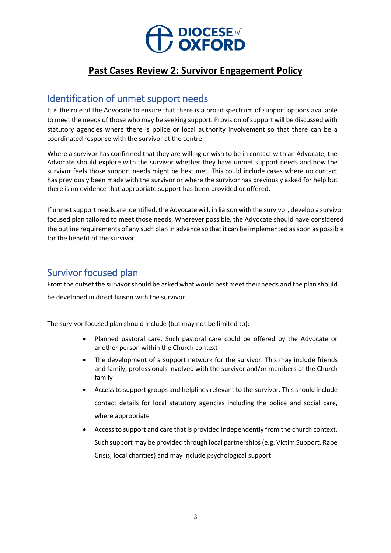

#### Identification of unmet support needs

It is the role of the Advocate to ensure that there is a broad spectrum of support options available to meet the needs of those who may be seeking support. Provision of support will be discussed with statutory agencies where there is police or local authority involvement so that there can be a coordinated response with the survivor at the centre.

Where a survivor has confirmed that they are willing or wish to be in contact with an Advocate, the Advocate should explore with the survivor whether they have unmet support needs and how the survivor feels those support needs might be best met. This could include cases where no contact has previously been made with the survivor or where the survivor has previously asked for help but there is no evidence that appropriate support has been provided or offered.

If unmet support needs are identified, the Advocate will, in liaison with the survivor, develop a survivor focused plan tailored to meet those needs. Wherever possible, the Advocate should have considered the outline requirements of any such plan in advance so that it can be implemented as soon as possible for the benefit of the survivor.

### Survivor focused plan

From the outset the survivorshould be asked what would best meet their needs and the plan should be developed in direct liaison with the survivor.

The survivor focused plan should include (but may not be limited to):

- Planned pastoral care. Such pastoral care could be offered by the Advocate or another person within the Church context
- The development of a support network for the survivor. This may include friends and family, professionals involved with the survivor and/or members of the Church family
- Access to support groups and helplines relevant to the survivor. This should include contact details for local statutory agencies including the police and social care, where appropriate
- Access to support and care that is provided independently from the church context. Such support may be provided through local partnerships (e.g. Victim Support, Rape Crisis, local charities) and may include psychological support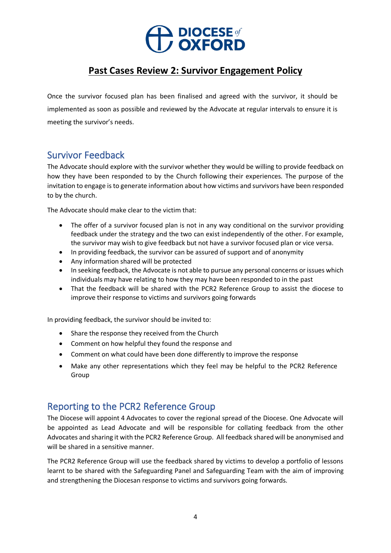# **A DIOCESE**

## **Past Cases Review 2: Survivor Engagement Policy**

Once the survivor focused plan has been finalised and agreed with the survivor, it should be implemented as soon as possible and reviewed by the Advocate at regular intervals to ensure it is meeting the survivor's needs.

#### Survivor Feedback

The Advocate should explore with the survivor whether they would be willing to provide feedback on how they have been responded to by the Church following their experiences. The purpose of the invitation to engage is to generate information about how victims and survivors have been responded to by the church.

The Advocate should make clear to the victim that:

- The offer of a survivor focused plan is not in any way conditional on the survivor providing feedback under the strategy and the two can exist independently of the other. For example, the survivor may wish to give feedback but not have a survivor focused plan or vice versa.
- In providing feedback, the survivor can be assured of support and of anonymity
- Any information shared will be protected
- In seeking feedback, the Advocate is not able to pursue any personal concerns or issues which individuals may have relating to how they may have been responded to in the past
- That the feedback will be shared with the PCR2 Reference Group to assist the diocese to improve their response to victims and survivors going forwards

In providing feedback, the survivor should be invited to:

- Share the response they received from the Church
- Comment on how helpful they found the response and
- Comment on what could have been done differently to improve the response
- Make any other representations which they feel may be helpful to the PCR2 Reference Group

# Reporting to the PCR2 Reference Group

The Diocese will appoint 4 Advocates to cover the regional spread of the Diocese. One Advocate will be appointed as Lead Advocate and will be responsible for collating feedback from the other Advocates and sharing it with the PCR2 Reference Group. All feedback shared will be anonymised and will be shared in a sensitive manner.

The PCR2 Reference Group will use the feedback shared by victims to develop a portfolio of lessons learnt to be shared with the Safeguarding Panel and Safeguarding Team with the aim of improving and strengthening the Diocesan response to victims and survivors going forwards.